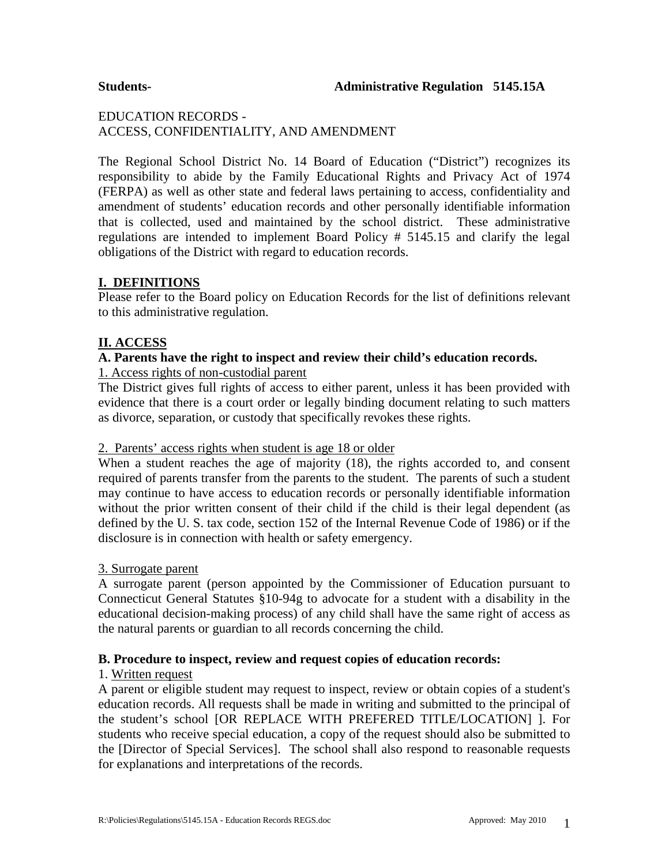# EDUCATION RECORDS - ACCESS, CONFIDENTIALITY, AND AMENDMENT

The Regional School District No. 14 Board of Education ("District") recognizes its responsibility to abide by the Family Educational Rights and Privacy Act of 1974 (FERPA) as well as other state and federal laws pertaining to access, confidentiality and amendment of students' education records and other personally identifiable information that is collected, used and maintained by the school district. These administrative regulations are intended to implement Board Policy # 5145.15 and clarify the legal obligations of the District with regard to education records.

# **I. DEFINITIONS**

Please refer to the Board policy on Education Records for the list of definitions relevant to this administrative regulation.

# **II. ACCESS**

# **A. Parents have the right to inspect and review their child's education records.**

1. Access rights of non-custodial parent

The District gives full rights of access to either parent, unless it has been provided with evidence that there is a court order or legally binding document relating to such matters as divorce, separation, or custody that specifically revokes these rights.

## 2. Parents' access rights when student is age 18 or older

When a student reaches the age of majority (18), the rights accorded to, and consent required of parents transfer from the parents to the student. The parents of such a student may continue to have access to education records or personally identifiable information without the prior written consent of their child if the child is their legal dependent (as defined by the U. S. tax code, section 152 of the Internal Revenue Code of 1986) or if the disclosure is in connection with health or safety emergency.

## 3. Surrogate parent

A surrogate parent (person appointed by the Commissioner of Education pursuant to Connecticut General Statutes §10-94g to advocate for a student with a disability in the educational decision-making process) of any child shall have the same right of access as the natural parents or guardian to all records concerning the child.

## **B. Procedure to inspect, review and request copies of education records:**

## 1. Written request

A parent or eligible student may request to inspect, review or obtain copies of a student's education records. All requests shall be made in writing and submitted to the principal of the student's school [OR REPLACE WITH PREFERED TITLE/LOCATION] ]. For students who receive special education, a copy of the request should also be submitted to the [Director of Special Services]. The school shall also respond to reasonable requests for explanations and interpretations of the records.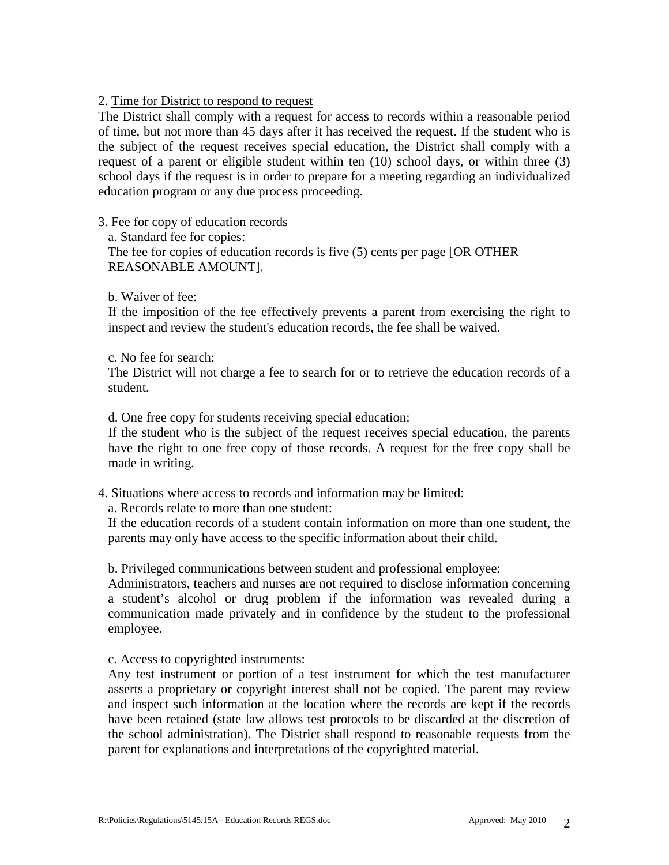# 2. Time for District to respond to request

The District shall comply with a request for access to records within a reasonable period of time, but not more than 45 days after it has received the request. If the student who is the subject of the request receives special education, the District shall comply with a request of a parent or eligible student within ten (10) school days, or within three (3) school days if the request is in order to prepare for a meeting regarding an individualized education program or any due process proceeding.

## 3. Fee for copy of education records

a. Standard fee for copies:

The fee for copies of education records is five (5) cents per page [OR OTHER REASONABLE AMOUNT].

## b. Waiver of fee:

If the imposition of the fee effectively prevents a parent from exercising the right to inspect and review the student's education records, the fee shall be waived.

#### c. No fee for search:

The District will not charge a fee to search for or to retrieve the education records of a student.

d. One free copy for students receiving special education:

If the student who is the subject of the request receives special education, the parents have the right to one free copy of those records. A request for the free copy shall be made in writing.

## 4. Situations where access to records and information may be limited:

## a. Records relate to more than one student:

If the education records of a student contain information on more than one student, the parents may only have access to the specific information about their child.

b. Privileged communications between student and professional employee:

Administrators, teachers and nurses are not required to disclose information concerning a student's alcohol or drug problem if the information was revealed during a communication made privately and in confidence by the student to the professional employee.

## c. Access to copyrighted instruments:

Any test instrument or portion of a test instrument for which the test manufacturer asserts a proprietary or copyright interest shall not be copied. The parent may review and inspect such information at the location where the records are kept if the records have been retained (state law allows test protocols to be discarded at the discretion of the school administration). The District shall respond to reasonable requests from the parent for explanations and interpretations of the copyrighted material.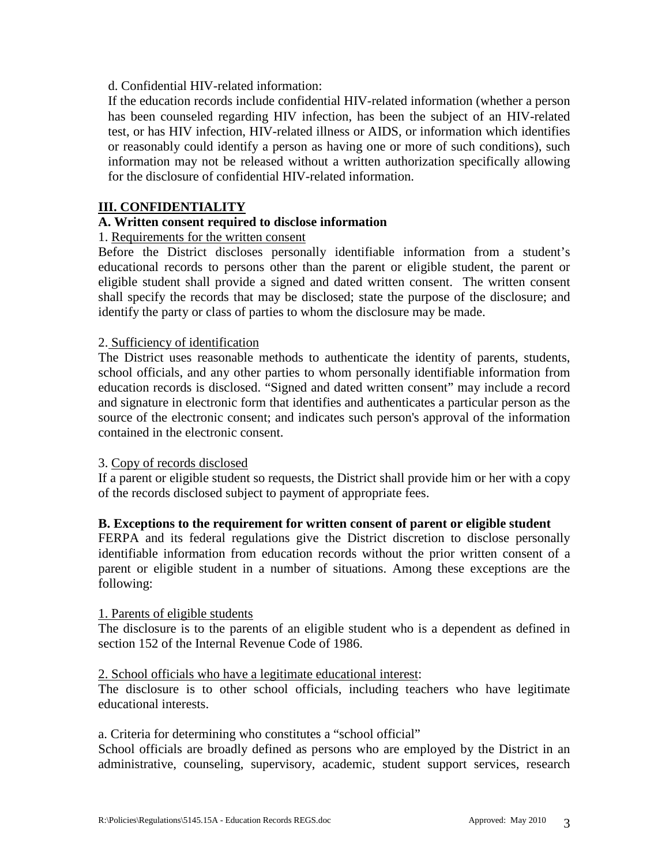d. Confidential HIV-related information:

If the education records include confidential HIV-related information (whether a person has been counseled regarding HIV infection, has been the subject of an HIV-related test, or has HIV infection, HIV-related illness or AIDS, or information which identifies or reasonably could identify a person as having one or more of such conditions), such information may not be released without a written authorization specifically allowing for the disclosure of confidential HIV-related information.

# **III. CONFIDENTIALITY**

# **A. Written consent required to disclose information**

## 1. Requirements for the written consent

Before the District discloses personally identifiable information from a student's educational records to persons other than the parent or eligible student, the parent or eligible student shall provide a signed and dated written consent. The written consent shall specify the records that may be disclosed; state the purpose of the disclosure; and identify the party or class of parties to whom the disclosure may be made.

## 2. Sufficiency of identification

The District uses reasonable methods to authenticate the identity of parents, students, school officials, and any other parties to whom personally identifiable information from education records is disclosed. "Signed and dated written consent" may include a record and signature in electronic form that identifies and authenticates a particular person as the source of the electronic consent; and indicates such person's approval of the information contained in the electronic consent.

## 3. Copy of records disclosed

If a parent or eligible student so requests, the District shall provide him or her with a copy of the records disclosed subject to payment of appropriate fees.

## **B. Exceptions to the requirement for written consent of parent or eligible student**

FERPA and its federal regulations give the District discretion to disclose personally identifiable information from education records without the prior written consent of a parent or eligible student in a number of situations. Among these exceptions are the following:

#### 1. Parents of eligible students

The disclosure is to the parents of an eligible student who is a dependent as defined in section 152 of the Internal Revenue Code of 1986.

## 2. School officials who have a legitimate educational interest:

The disclosure is to other school officials, including teachers who have legitimate educational interests.

#### a. Criteria for determining who constitutes a "school official"

School officials are broadly defined as persons who are employed by the District in an administrative, counseling, supervisory, academic, student support services, research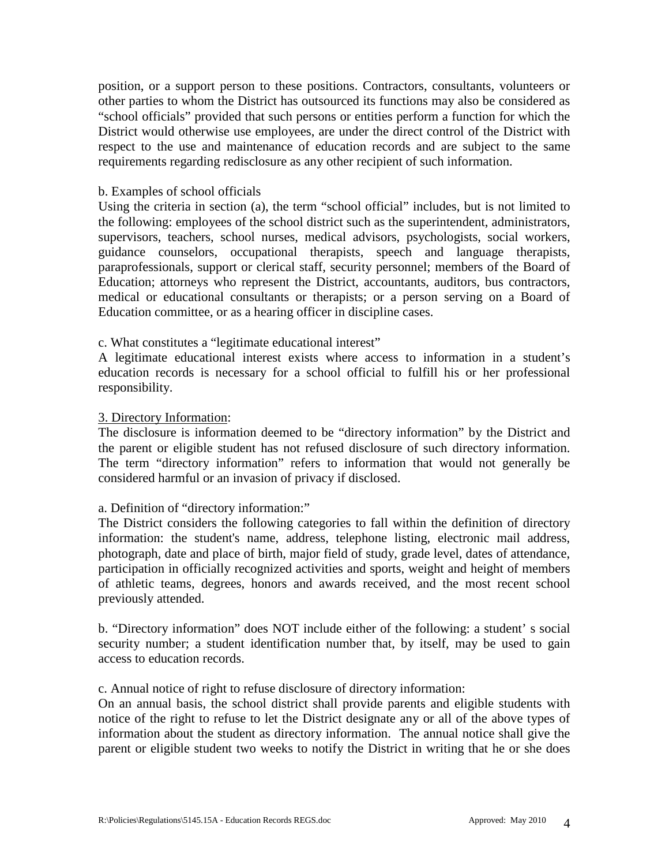position, or a support person to these positions. Contractors, consultants, volunteers or other parties to whom the District has outsourced its functions may also be considered as "school officials" provided that such persons or entities perform a function for which the District would otherwise use employees, are under the direct control of the District with respect to the use and maintenance of education records and are subject to the same requirements regarding redisclosure as any other recipient of such information.

#### b. Examples of school officials

Using the criteria in section (a), the term "school official" includes, but is not limited to the following: employees of the school district such as the superintendent, administrators, supervisors, teachers, school nurses, medical advisors, psychologists, social workers, guidance counselors, occupational therapists, speech and language therapists, paraprofessionals, support or clerical staff, security personnel; members of the Board of Education; attorneys who represent the District, accountants, auditors, bus contractors, medical or educational consultants or therapists; or a person serving on a Board of Education committee, or as a hearing officer in discipline cases.

#### c. What constitutes a "legitimate educational interest"

A legitimate educational interest exists where access to information in a student's education records is necessary for a school official to fulfill his or her professional responsibility.

#### 3. Directory Information:

The disclosure is information deemed to be "directory information" by the District and the parent or eligible student has not refused disclosure of such directory information. The term "directory information" refers to information that would not generally be considered harmful or an invasion of privacy if disclosed.

## a. Definition of "directory information:"

The District considers the following categories to fall within the definition of directory information: the student's name, address, telephone listing, electronic mail address, photograph, date and place of birth, major field of study, grade level, dates of attendance, participation in officially recognized activities and sports, weight and height of members of athletic teams, degrees, honors and awards received, and the most recent school previously attended.

b. "Directory information" does NOT include either of the following: a student' s social security number; a student identification number that, by itself, may be used to gain access to education records.

c. Annual notice of right to refuse disclosure of directory information:

On an annual basis, the school district shall provide parents and eligible students with notice of the right to refuse to let the District designate any or all of the above types of information about the student as directory information. The annual notice shall give the parent or eligible student two weeks to notify the District in writing that he or she does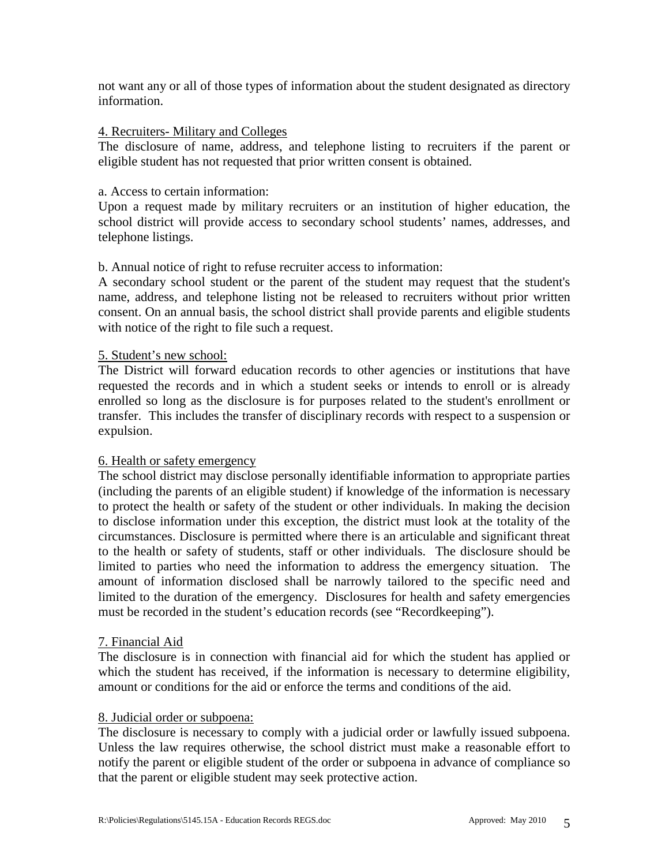not want any or all of those types of information about the student designated as directory information.

## 4. Recruiters- Military and Colleges

The disclosure of name, address, and telephone listing to recruiters if the parent or eligible student has not requested that prior written consent is obtained.

#### a. Access to certain information:

Upon a request made by military recruiters or an institution of higher education, the school district will provide access to secondary school students' names, addresses, and telephone listings.

## b. Annual notice of right to refuse recruiter access to information:

A secondary school student or the parent of the student may request that the student's name, address, and telephone listing not be released to recruiters without prior written consent. On an annual basis, the school district shall provide parents and eligible students with notice of the right to file such a request.

#### 5. Student's new school:

The District will forward education records to other agencies or institutions that have requested the records and in which a student seeks or intends to enroll or is already enrolled so long as the disclosure is for purposes related to the student's enrollment or transfer. This includes the transfer of disciplinary records with respect to a suspension or expulsion.

#### 6. Health or safety emergency

The school district may disclose personally identifiable information to appropriate parties (including the parents of an eligible student) if knowledge of the information is necessary to protect the health or safety of the student or other individuals. In making the decision to disclose information under this exception, the district must look at the totality of the circumstances. Disclosure is permitted where there is an articulable and significant threat to the health or safety of students, staff or other individuals. The disclosure should be limited to parties who need the information to address the emergency situation. The amount of information disclosed shall be narrowly tailored to the specific need and limited to the duration of the emergency. Disclosures for health and safety emergencies must be recorded in the student's education records (see "Recordkeeping").

#### 7. Financial Aid

The disclosure is in connection with financial aid for which the student has applied or which the student has received, if the information is necessary to determine eligibility, amount or conditions for the aid or enforce the terms and conditions of the aid.

#### 8. Judicial order or subpoena:

The disclosure is necessary to comply with a judicial order or lawfully issued subpoena. Unless the law requires otherwise, the school district must make a reasonable effort to notify the parent or eligible student of the order or subpoena in advance of compliance so that the parent or eligible student may seek protective action.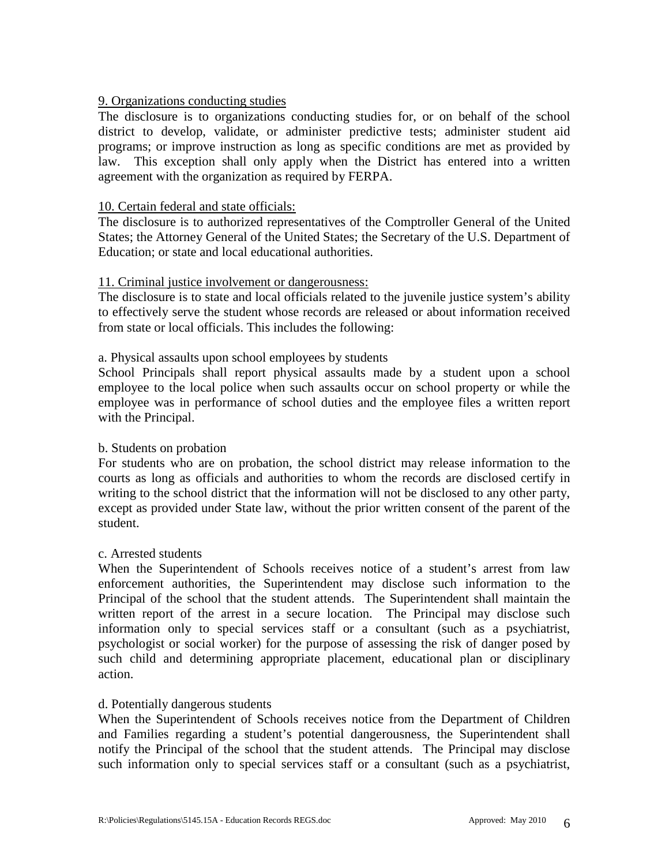# 9. Organizations conducting studies

The disclosure is to organizations conducting studies for, or on behalf of the school district to develop, validate, or administer predictive tests; administer student aid programs; or improve instruction as long as specific conditions are met as provided by law. This exception shall only apply when the District has entered into a written agreement with the organization as required by FERPA.

## 10. Certain federal and state officials:

The disclosure is to authorized representatives of the Comptroller General of the United States; the Attorney General of the United States; the Secretary of the U.S. Department of Education; or state and local educational authorities.

#### 11. Criminal justice involvement or dangerousness:

The disclosure is to state and local officials related to the juvenile justice system's ability to effectively serve the student whose records are released or about information received from state or local officials. This includes the following:

#### a. Physical assaults upon school employees by students

School Principals shall report physical assaults made by a student upon a school employee to the local police when such assaults occur on school property or while the employee was in performance of school duties and the employee files a written report with the Principal.

## b. Students on probation

For students who are on probation, the school district may release information to the courts as long as officials and authorities to whom the records are disclosed certify in writing to the school district that the information will not be disclosed to any other party, except as provided under State law, without the prior written consent of the parent of the student.

#### c. Arrested students

When the Superintendent of Schools receives notice of a student's arrest from law enforcement authorities, the Superintendent may disclose such information to the Principal of the school that the student attends. The Superintendent shall maintain the written report of the arrest in a secure location. The Principal may disclose such information only to special services staff or a consultant (such as a psychiatrist, psychologist or social worker) for the purpose of assessing the risk of danger posed by such child and determining appropriate placement, educational plan or disciplinary action.

#### d. Potentially dangerous students

When the Superintendent of Schools receives notice from the Department of Children and Families regarding a student's potential dangerousness, the Superintendent shall notify the Principal of the school that the student attends. The Principal may disclose such information only to special services staff or a consultant (such as a psychiatrist,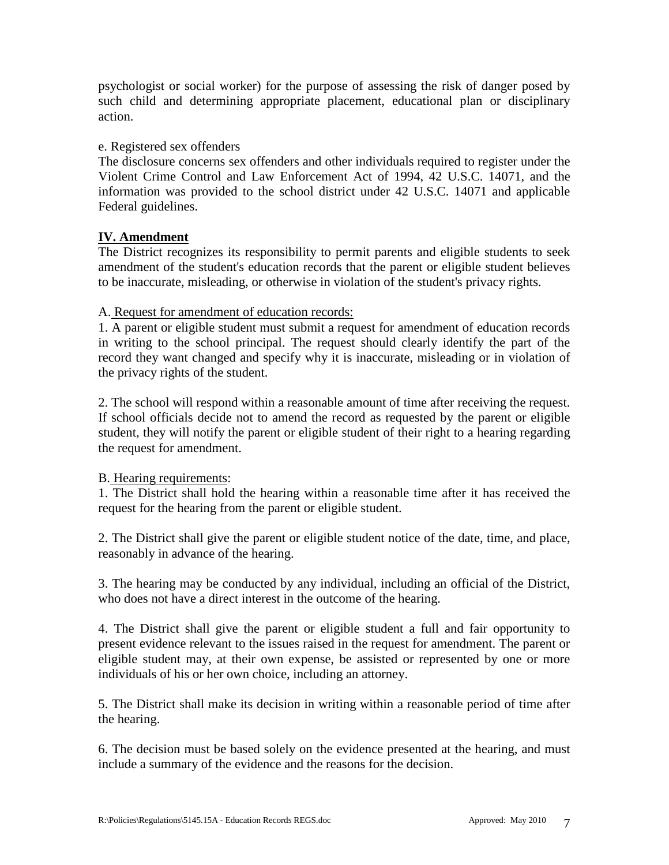psychologist or social worker) for the purpose of assessing the risk of danger posed by such child and determining appropriate placement, educational plan or disciplinary action.

# e. Registered sex offenders

The disclosure concerns sex offenders and other individuals required to register under the Violent Crime Control and Law Enforcement Act of 1994, [42 U.S.C. 14071,](https://web2.westlaw.com/find/default.wl?tf=-1&rs=WLW9.06&ifm=NotSet&fn=_top&sv=Split&tc=-1&docname=42USCAS14071&ordoc=5919156&findtype=L&mt=Connecticut&db=1000546&utid=1&vr=2.0&rp=%2ffind%2fdefault.wl&pbc=1B5FB230) and the information was provided to the school district under [42 U.S.C. 14071](https://web2.westlaw.com/find/default.wl?tf=-1&rs=WLW9.06&ifm=NotSet&fn=_top&sv=Split&tc=-1&docname=42USCAS14071&ordoc=5919156&findtype=L&mt=Connecticut&db=1000546&utid=1&vr=2.0&rp=%2ffind%2fdefault.wl&pbc=1B5FB230) and applicable Federal guidelines.

# **IV. Amendment**

The District recognizes its responsibility to permit parents and eligible students to seek amendment of the student's education records that the parent or eligible student believes to be inaccurate, misleading, or otherwise in violation of the student's privacy rights.

## A. Request for amendment of education records:

1. A parent or eligible student must submit a request for amendment of education records in writing to the school principal. The request should clearly identify the part of the record they want changed and specify why it is inaccurate, misleading or in violation of the privacy rights of the student.

2. The school will respond within a reasonable amount of time after receiving the request. If school officials decide not to amend the record as requested by the parent or eligible student, they will notify the parent or eligible student of their right to a hearing regarding the request for amendment.

## B. Hearing requirements:

1. The District shall hold the hearing within a reasonable time after it has received the request for the hearing from the parent or eligible student.

2. The District shall give the parent or eligible student notice of the date, time, and place, reasonably in advance of the hearing.

3. The hearing may be conducted by any individual, including an official of the District, who does not have a direct interest in the outcome of the hearing.

4. The District shall give the parent or eligible student a full and fair opportunity to present evidence relevant to the issues raised in the request for amendment. The parent or eligible student may, at their own expense, be assisted or represented by one or more individuals of his or her own choice, including an attorney.

5. The District shall make its decision in writing within a reasonable period of time after the hearing.

6. The decision must be based solely on the evidence presented at the hearing, and must include a summary of the evidence and the reasons for the decision.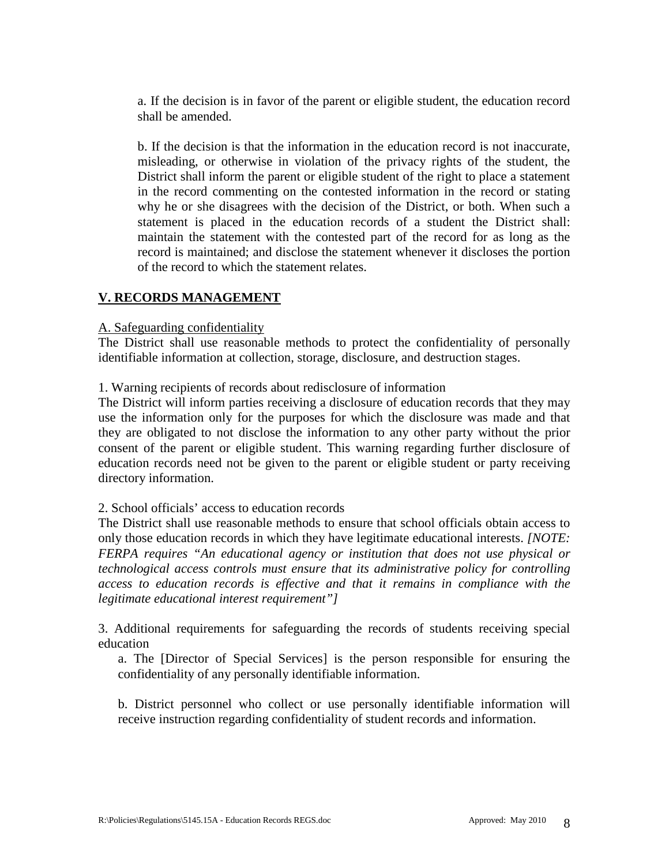a. If the decision is in favor of the parent or eligible student, the education record shall be amended.

b. If the decision is that the information in the education record is not inaccurate, misleading, or otherwise in violation of the privacy rights of the student, the District shall inform the parent or eligible student of the right to place a statement in the record commenting on the contested information in the record or stating why he or she disagrees with the decision of the District, or both. When such a statement is placed in the education records of a student the District shall: maintain the statement with the contested part of the record for as long as the record is maintained; and disclose the statement whenever it discloses the portion of the record to which the statement relates.

# **V. RECORDS MANAGEMENT**

#### A. Safeguarding confidentiality

The District shall use reasonable methods to protect the confidentiality of personally identifiable information at collection, storage, disclosure, and destruction stages.

## 1. Warning recipients of records about redisclosure of information

The District will inform parties receiving a disclosure of education records that they may use the information only for the purposes for which the disclosure was made and that they are obligated to not disclose the information to any other party without the prior consent of the parent or eligible student. This warning regarding further disclosure of education records need not be given to the parent or eligible student or party receiving directory information.

## 2. School officials' access to education records

The District shall use reasonable methods to ensure that school officials obtain access to only those education records in which they have legitimate educational interests. *[NOTE: FERPA requires "An educational agency or institution that does not use physical or technological access controls must ensure that its administrative policy for controlling access to education records is effective and that it remains in compliance with the legitimate educational interest requirement"]*

3. Additional requirements for safeguarding the records of students receiving special education

a. The [Director of Special Services] is the person responsible for ensuring the confidentiality of any personally identifiable information.

b. District personnel who collect or use personally identifiable information will receive instruction regarding confidentiality of student records and information.